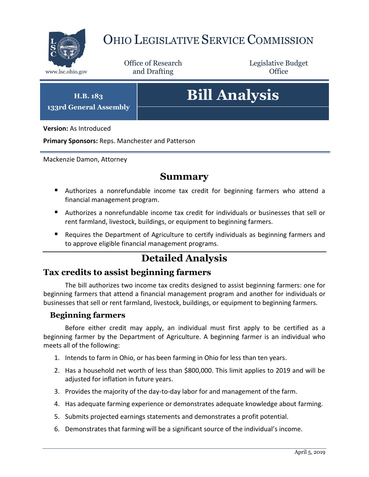

# OHIO LEGISLATIVE SERVICE COMMISSION

Office of Research www.lsc.ohio.gov and Drafting Control of Control of the Control of Control of the Control of Control of the Control of the Control of the Control of the Control of the Control of the Control of the Control of the Control o

Legislative Budget

**H.B. 183 133rd General Assembly**

# **Bill Analysis**

**Version:** As Introduced

**Primary Sponsors:** Reps. Manchester and Patterson

Mackenzie Damon, Attorney

### **Summary**

- Authorizes a nonrefundable income tax credit for beginning farmers who attend a financial management program.
- Authorizes a nonrefundable income tax credit for individuals or businesses that sell or rent farmland, livestock, buildings, or equipment to beginning farmers.
- Requires the Department of Agriculture to certify individuals as beginning farmers and to approve eligible financial management programs.

## **Detailed Analysis**

## **Tax credits to assist beginning farmers**

The bill authorizes two income tax credits designed to assist beginning farmers: one for beginning farmers that attend a financial management program and another for individuals or businesses that sell or rent farmland, livestock, buildings, or equipment to beginning farmers.

#### **Beginning farmers**

Before either credit may apply, an individual must first apply to be certified as a beginning farmer by the Department of Agriculture. A beginning farmer is an individual who meets all of the following:

- 1. Intends to farm in Ohio, or has been farming in Ohio for less than ten years.
- 2. Has a household net worth of less than \$800,000. This limit applies to 2019 and will be adjusted for inflation in future years.
- 3. Provides the majority of the day-to-day labor for and management of the farm.
- 4. Has adequate farming experience or demonstrates adequate knowledge about farming.
- 5. Submits projected earnings statements and demonstrates a profit potential.
- 6. Demonstrates that farming will be a significant source of the individual's income.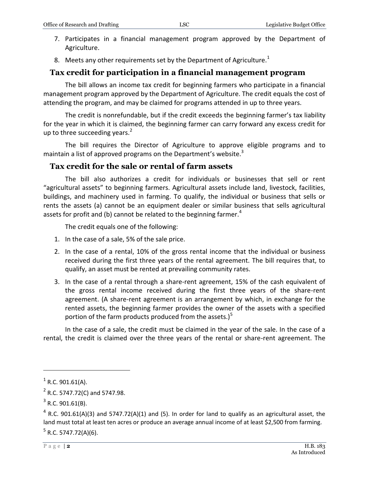- 7. Participates in a financial management program approved by the Department of Agriculture.
- 8. Meets any other requirements set by the Department of Agriculture.<sup>1</sup>

#### **Tax credit for participation in a financial management program**

The bill allows an income tax credit for beginning farmers who participate in a financial management program approved by the Department of Agriculture. The credit equals the cost of attending the program, and may be claimed for programs attended in up to three years.

The credit is nonrefundable, but if the credit exceeds the beginning farmer's tax liability for the year in which it is claimed, the beginning farmer can carry forward any excess credit for up to three succeeding years. $2$ 

The bill requires the Director of Agriculture to approve eligible programs and to maintain a list of approved programs on the Department's website. $3$ 

#### **Tax credit for the sale or rental of farm assets**

The bill also authorizes a credit for individuals or businesses that sell or rent "agricultural assets" to beginning farmers. Agricultural assets include land, livestock, facilities, buildings, and machinery used in farming. To qualify, the individual or business that sells or rents the assets (a) cannot be an equipment dealer or similar business that sells agricultural assets for profit and (b) cannot be related to the beginning farmer. $4$ 

The credit equals one of the following:

- 1. In the case of a sale, 5% of the sale price.
- 2. In the case of a rental, 10% of the gross rental income that the individual or business received during the first three years of the rental agreement. The bill requires that, to qualify, an asset must be rented at prevailing community rates.
- 3. In the case of a rental through a share-rent agreement, 15% of the cash equivalent of the gross rental income received during the first three years of the share-rent agreement. (A share-rent agreement is an arrangement by which, in exchange for the rented assets, the beginning farmer provides the owner of the assets with a specified portion of the farm products produced from the assets.) $<sup>5</sup>$ </sup>

In the case of a sale, the credit must be claimed in the year of the sale. In the case of a rental, the credit is claimed over the three years of the rental or share-rent agreement. The

 $\overline{a}$ 

 $1$  R.C. 901.61(A).

 $^{2}$  R.C. 5747.72(C) and 5747.98.

 $3$  R.C. 901.61(B).

 $^4$  R.C. 901.61(A)(3) and 5747.72(A)(1) and (5). In order for land to qualify as an agricultural asset, the land must total at least ten acres or produce an average annual income of at least \$2,500 from farming. <sup>5</sup> R.C. 5747.72(A)(6).